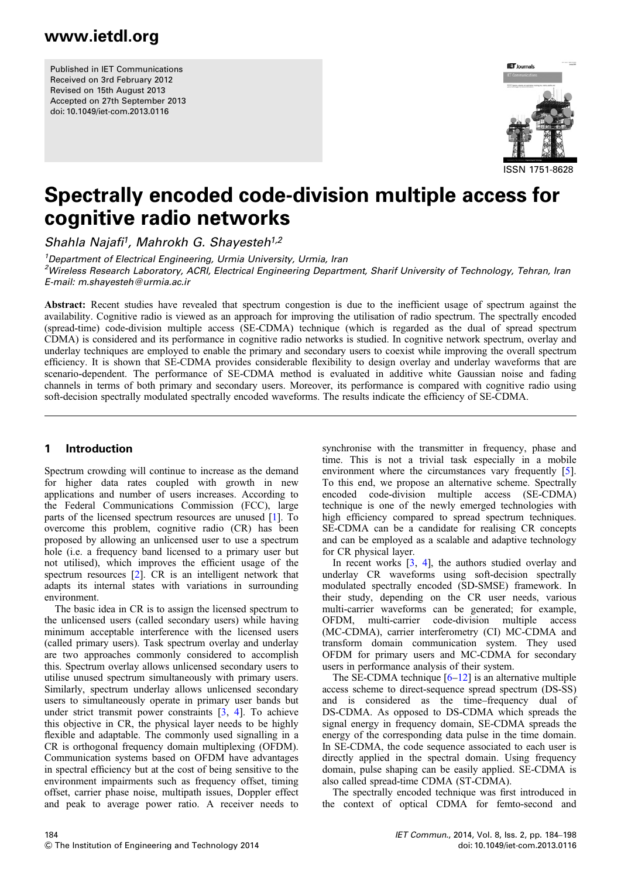Published in IET Communications Received on 3rd February 2012 Revised on 15th August 2013 Accepted on 27th September 2013 doi: 10.1049/iet-com.2013.0116



# Spectrally encoded code-division multiple access for cognitive radio networks

Shahla Najafi<sup>1</sup>, Mahrokh G. Shayesteh<sup>1,2</sup>

<sup>1</sup> Department of Electrical Engineering, Urmia University, Urmia, Iran <sup>2</sup>Wireless Research Laboratory, ACRI, Electrical Engineering Department, Sharif University of Technology, Tehran, Iran E-mail: m.shayesteh@urmia.ac.ir

Abstract: Recent studies have revealed that spectrum congestion is due to the inefficient usage of spectrum against the availability. Cognitive radio is viewed as an approach for improving the utilisation of radio spectrum. The spectrally encoded (spread-time) code-division multiple access (SE-CDMA) technique (which is regarded as the dual of spread spectrum CDMA) is considered and its performance in cognitive radio networks is studied. In cognitive network spectrum, overlay and underlay techniques are employed to enable the primary and secondary users to coexist while improving the overall spectrum efficiency. It is shown that SE-CDMA provides considerable flexibility to design overlay and underlay waveforms that are scenario-dependent. The performance of SE-CDMA method is evaluated in additive white Gaussian noise and fading channels in terms of both primary and secondary users. Moreover, its performance is compared with cognitive radio using soft-decision spectrally modulated spectrally encoded waveforms. The results indicate the efficiency of SE-CDMA.

### 1 Introduction

Spectrum crowding will continue to increase as the demand for higher data rates coupled with growth in new applications and number of users increases. According to the Federal Communications Commission (FCC), large parts of the licensed spectrum resources are unused [1]. To overcome this problem, cognitive radio (CR) has been proposed by allowing an unlicensed user to use a spectrum hole (i.e. a frequency band licensed to a primary user but not utilised), which improves the efficient usage of the spectrum resources [2]. CR is an intelligent network that adapts its internal states with variations in surrounding environment.

The basic idea in CR is to assign the licensed spectrum to the unlicensed users (called secondary users) while having minimum acceptable interference with the licensed users (called primary users). Task spectrum overlay and underlay are two approaches commonly considered to accomplish this. Spectrum overlay allows unlicensed secondary users to utilise unused spectrum simultaneously with primary users. Similarly, spectrum underlay allows unlicensed secondary users to simultaneously operate in primary user bands but under strict transmit power constraints [3, 4]. To achieve this objective in CR, the physical layer needs to be highly flexible and adaptable. The commonly used signalling in a CR is orthogonal frequency domain multiplexing (OFDM). Communication systems based on OFDM have advantages in spectral efficiency but at the cost of being sensitive to the environment impairments such as frequency offset, timing offset, carrier phase noise, multipath issues, Doppler effect and peak to average power ratio. A receiver needs to

synchronise with the transmitter in frequency, phase and time. This is not a trivial task especially in a mobile environment where the circumstances vary frequently [5]. To this end, we propose an alternative scheme. Spectrally encoded code-division multiple access (SE-CDMA) technique is one of the newly emerged technologies with high efficiency compared to spread spectrum techniques. SE-CDMA can be a candidate for realising CR concepts and can be employed as a scalable and adaptive technology for CR physical layer.

In recent works [3, 4], the authors studied overlay and underlay CR waveforms using soft-decision spectrally modulated spectrally encoded (SD-SMSE) framework. In their study, depending on the CR user needs, various multi-carrier waveforms can be generated; for example, OFDM, multi-carrier code-division multiple access (MC-CDMA), carrier interferometry (CI) MC-CDMA and transform domain communication system. They used OFDM for primary users and MC-CDMA for secondary users in performance analysis of their system.

The SE-CDMA technique  $[6-12]$  is an alternative multiple access scheme to direct-sequence spread spectrum (DS-SS) and is considered as the time–frequency dual of DS-CDMA. As opposed to DS-CDMA which spreads the signal energy in frequency domain, SE-CDMA spreads the energy of the corresponding data pulse in the time domain. In SE-CDMA, the code sequence associated to each user is directly applied in the spectral domain. Using frequency domain, pulse shaping can be easily applied. SE-CDMA is also called spread-time CDMA (ST-CDMA).

The spectrally encoded technique was first introduced in the context of optical CDMA for femto-second and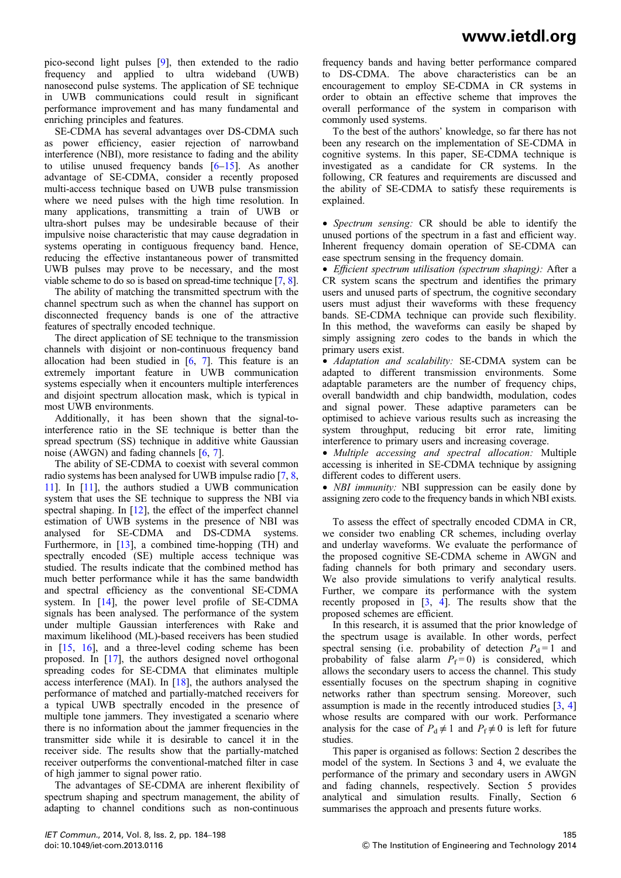pico-second light pulses [9], then extended to the radio frequency and applied to ultra wideband (UWB) nanosecond pulse systems. The application of SE technique in UWB communications could result in significant performance improvement and has many fundamental and enriching principles and features.

SE-CDMA has several advantages over DS-CDMA such as power efficiency, easier rejection of narrowband interference (NBI), more resistance to fading and the ability to utilise unused frequency bands [6–15]. As another advantage of SE-CDMA, consider a recently proposed multi-access technique based on UWB pulse transmission where we need pulses with the high time resolution. In many applications, transmitting a train of UWB or ultra-short pulses may be undesirable because of their impulsive noise characteristic that may cause degradation in systems operating in contiguous frequency band. Hence, reducing the effective instantaneous power of transmitted UWB pulses may prove to be necessary, and the most viable scheme to do so is based on spread-time technique [7, 8].

The ability of matching the transmitted spectrum with the channel spectrum such as when the channel has support on disconnected frequency bands is one of the attractive features of spectrally encoded technique.

The direct application of SE technique to the transmission channels with disjoint or non-continuous frequency band allocation had been studied in [6, 7]. This feature is an extremely important feature in UWB communication systems especially when it encounters multiple interferences and disjoint spectrum allocation mask, which is typical in most UWB environments.

Additionally, it has been shown that the signal-tointerference ratio in the SE technique is better than the spread spectrum (SS) technique in additive white Gaussian noise (AWGN) and fading channels [6, 7].

The ability of SE-CDMA to coexist with several common radio systems has been analysed for UWB impulse radio [7, 8, 11]. In [11], the authors studied a UWB communication system that uses the SE technique to suppress the NBI via spectral shaping. In [12], the effect of the imperfect channel estimation of UWB systems in the presence of NBI was analysed for SE-CDMA and DS-CDMA systems. Furthermore, in [13], a combined time-hopping (TH) and spectrally encoded (SE) multiple access technique was studied. The results indicate that the combined method has much better performance while it has the same bandwidth and spectral efficiency as the conventional SE-CDMA system. In [14], the power level profile of SE-CDMA signals has been analysed. The performance of the system under multiple Gaussian interferences with Rake and maximum likelihood (ML)-based receivers has been studied in [15, 16], and a three-level coding scheme has been proposed. In [17], the authors designed novel orthogonal spreading codes for SE-CDMA that eliminates multiple access interference (MAI). In [18], the authors analysed the performance of matched and partially-matched receivers for a typical UWB spectrally encoded in the presence of multiple tone jammers. They investigated a scenario where there is no information about the jammer frequencies in the transmitter side while it is desirable to cancel it in the receiver side. The results show that the partially-matched receiver outperforms the conventional-matched filter in case of high jammer to signal power ratio.

The advantages of SE-CDMA are inherent flexibility of spectrum shaping and spectrum management, the ability of adapting to channel conditions such as non-continuous

frequency bands and having better performance compared to DS-CDMA. The above characteristics can be an encouragement to employ SE-CDMA in CR systems in order to obtain an effective scheme that improves the overall performance of the system in comparison with commonly used systems.

To the best of the authors' knowledge, so far there has not been any research on the implementation of SE-CDMA in cognitive systems. In this paper, SE-CDMA technique is investigated as a candidate for CR systems. In the following, CR features and requirements are discussed and the ability of SE-CDMA to satisfy these requirements is explained.

• Spectrum sensing: CR should be able to identify the unused portions of the spectrum in a fast and efficient way. Inherent frequency domain operation of SE-CDMA can ease spectrum sensing in the frequency domain.

• Efficient spectrum utilisation (spectrum shaping): After a CR system scans the spectrum and identifies the primary users and unused parts of spectrum, the cognitive secondary users must adjust their waveforms with these frequency bands. SE-CDMA technique can provide such flexibility. In this method, the waveforms can easily be shaped by simply assigning zero codes to the bands in which the primary users exist.

• Adaptation and scalability: SE-CDMA system can be adapted to different transmission environments. Some adaptable parameters are the number of frequency chips, overall bandwidth and chip bandwidth, modulation, codes and signal power. These adaptive parameters can be optimised to achieve various results such as increasing the system throughput, reducing bit error rate, limiting interference to primary users and increasing coverage.

• Multiple accessing and spectral allocation: Multiple accessing is inherited in SE-CDMA technique by assigning different codes to different users.

• *NBI immunity:* NBI suppression can be easily done by assigning zero code to the frequency bands in which NBI exists.

To assess the effect of spectrally encoded CDMA in CR, we consider two enabling CR schemes, including overlay and underlay waveforms. We evaluate the performance of the proposed cognitive SE-CDMA scheme in AWGN and fading channels for both primary and secondary users. We also provide simulations to verify analytical results. Further, we compare its performance with the system recently proposed in [3, 4]. The results show that the proposed schemes are efficient.

In this research, it is assumed that the prior knowledge of the spectrum usage is available. In other words, perfect spectral sensing (i.e. probability of detection  $P_d = 1$  and probability of false alarm  $P_f = 0$ ) is considered, which allows the secondary users to access the channel. This study essentially focuses on the spectrum shaping in cognitive networks rather than spectrum sensing. Moreover, such assumption is made in the recently introduced studies [3, 4] whose results are compared with our work. Performance analysis for the case of  $P_d \neq 1$  and  $P_f \neq 0$  is left for future studies.

This paper is organised as follows: Section 2 describes the model of the system. In Sections 3 and 4, we evaluate the performance of the primary and secondary users in AWGN and fading channels, respectively. Section 5 provides analytical and simulation results. Finally, Section 6 summarises the approach and presents future works.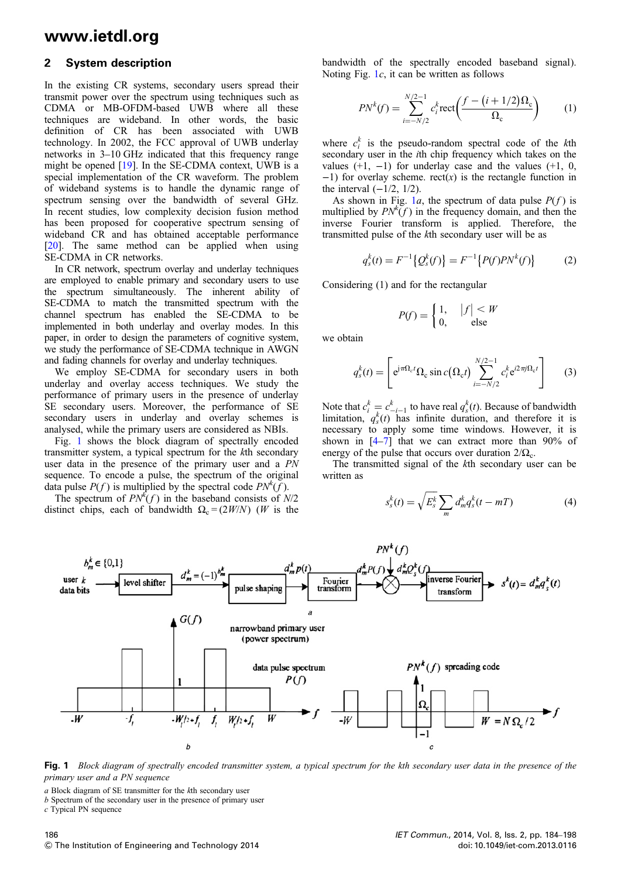### 2 System description

In the existing CR systems, secondary users spread their transmit power over the spectrum using techniques such as CDMA or MB-OFDM-based UWB where all these techniques are wideband. In other words, the basic definition of CR has been associated with UWB technology. In 2002, the FCC approval of UWB underlay networks in 3–10 GHz indicated that this frequency range might be opened [19]. In the SE-CDMA context, UWB is a special implementation of the CR waveform. The problem of wideband systems is to handle the dynamic range of spectrum sensing over the bandwidth of several GHz. In recent studies, low complexity decision fusion method has been proposed for cooperative spectrum sensing of wideband CR and has obtained acceptable performance [20]. The same method can be applied when using SE-CDMA in CR networks.

In CR network, spectrum overlay and underlay techniques are employed to enable primary and secondary users to use the spectrum simultaneously. The inherent ability of SE-CDMA to match the transmitted spectrum with the channel spectrum has enabled the SE-CDMA to be implemented in both underlay and overlay modes. In this paper, in order to design the parameters of cognitive system, we study the performance of SE-CDMA technique in AWGN and fading channels for overlay and underlay techniques.

We employ SE-CDMA for secondary users in both underlay and overlay access techniques. We study the performance of primary users in the presence of underlay SE secondary users. Moreover, the performance of SE secondary users in underlay and overlay schemes is analysed, while the primary users are considered as NBIs.

Fig. 1 shows the block diagram of spectrally encoded transmitter system, a typical spectrum for the kth secondary user data in the presence of the primary user and a PN sequence. To encode a pulse, the spectrum of the original data pulse  $P(f)$  is multiplied by the spectral code  $PN^{k}(f)$ .

The spectrum of  $PN^{k}(f)$  in the baseband consists of  $N/2$ distinct chips, each of bandwidth  $\Omega_c = (2W/N)$  (W is the bandwidth of the spectrally encoded baseband signal). Noting Fig. 1c, it can be written as follows

$$
PN^{k}(f) = \sum_{i=-N/2}^{N/2-1} c_i^{k} \text{rect}\left(\frac{f - (i+1/2)\Omega_c}{\Omega_c}\right) \tag{1}
$$

where  $c_i^k$  is the pseudo-random spectral code of the kth secondary user in the ith chip frequency which takes on the values  $(+1, -1)$  for underlay case and the values  $(+1, 0, 1)$  $-1$ ) for overlay scheme. rect(x) is the rectangle function in the interval  $(-1/2, 1/2)$ .

As shown in Fig. 1a, the spectrum of data pulse  $P(f)$  is multiplied by  $PN^{k}(f)$  in the frequency domain, and then the inverse Fourier transform is applied. Therefore, the transmitted pulse of the kth secondary user will be as

$$
q_s^k(t) = F^{-1}\left\{Q_s^k(f)\right\} = F^{-1}\left\{P(f)PN^k(f)\right\} \tag{2}
$$

Considering (1) and for the rectangular

$$
P(f) = \begin{cases} 1, & |f| < W \\ 0, & \text{else} \end{cases}
$$

we obtain

$$
q_s^k(t) = \left[ e^{j\pi\Omega_c t} \Omega_c \sin c(\Omega_c t) \sum_{i=-N/2}^{N/2-1} c_i^k e^{i2\pi j \Omega_c t} \right]
$$
 (3)

Note that  $c_i^k = c_{i-1}^k$  to have real  $q_s^k(t)$ . Because of bandwidth limitation,  $q_s^k(t)$  has infinite duration, and therefore it is necessary to apply some time windows. However, it is shown in  $[4-7]$  that we can extract more than 90% of energy of the pulse that occurs over duration  $2/\Omega_c$ .

The transmitted signal of the kth secondary user can be written as

$$
s_s^k(t) = \sqrt{E_s^k} \sum_m d_m^k q_s^k(t - mT)
$$
 (4)



Fig. 1 Block diagram of spectrally encoded transmitter system, a typical spectrum for the kth secondary user data in the presence of the primary user and a PN sequence

a Block diagram of SE transmitter for the kth secondary user

b Spectrum of the secondary user in the presence of primary user

c Typical PN sequence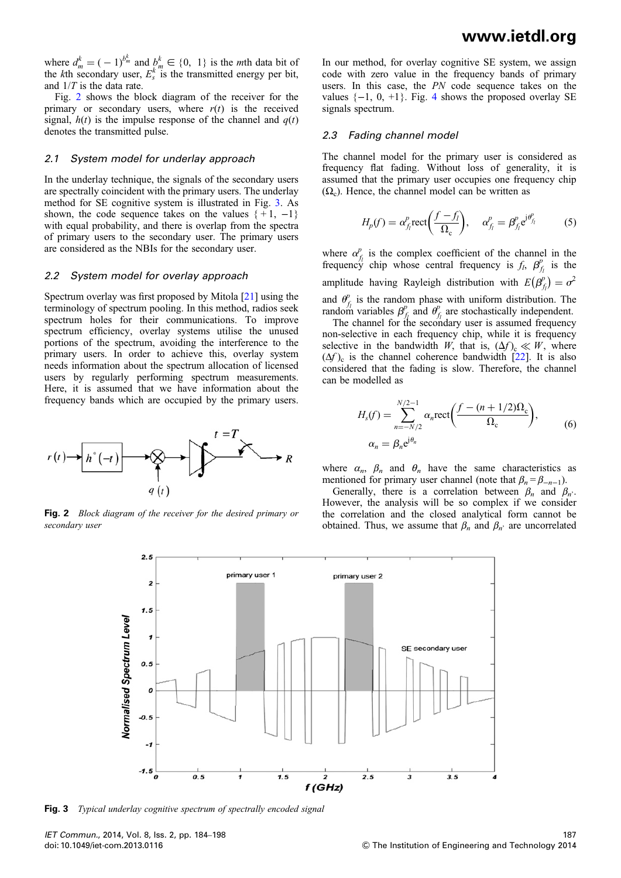where  $d_m^k = (-1)^{b_m^k}$  and  $b_m^k \in \{0, 1\}$  is the *mth* data bit of the *k*th secondary user,  $E_s^k$  is the transmitted energy per bit, and  $1/T$  is the data rate.

Fig. 2 shows the block diagram of the receiver for the primary or secondary users, where  $r(t)$  is the received signal,  $h(t)$  is the impulse response of the channel and  $q(t)$ denotes the transmitted pulse.

#### 2.1 System model for underlay approach

In the underlay technique, the signals of the secondary users are spectrally coincident with the primary users. The underlay method for SE cognitive system is illustrated in Fig. 3. As shown, the code sequence takes on the values  $\{ +1, -1 \}$ with equal probability, and there is overlap from the spectra of primary users to the secondary user. The primary users are considered as the NBIs for the secondary user.

#### 2.2 System model for overlay approach

Spectrum overlay was first proposed by Mitola [21] using the terminology of spectrum pooling. In this method, radios seek spectrum holes for their communications. To improve spectrum efficiency, overlay systems utilise the unused portions of the spectrum, avoiding the interference to the primary users. In order to achieve this, overlay system needs information about the spectrum allocation of licensed users by regularly performing spectrum measurements. Here, it is assumed that we have information about the frequency bands which are occupied by the primary users.



Fig. 2 Block diagram of the receiver for the desired primary or secondary user

In our method, for overlay cognitive SE system, we assign code with zero value in the frequency bands of primary users. In this case, the PN code sequence takes on the values  $\{-1, 0, +1\}$ . Fig. 4 shows the proposed overlay SE signals spectrum.

#### 2.3 Fading channel model

The channel model for the primary user is considered as frequency flat fading. Without loss of generality, it is assumed that the primary user occupies one frequency chip  $(\Omega_c)$ . Hence, the channel model can be written as

$$
H_p(f) = \alpha_{f_i}^p \text{rect}\bigg(\frac{f - f_i}{\Omega_c}\bigg), \quad \alpha_{f_i}^p = \beta_{f_i}^p e^{j\theta_{f_i}^p} \tag{5}
$$

where  $\alpha_{f_i}^p$  is the complex coefficient of the channel in the frequency chip whose central frequency is  $f_i$ ,  $\beta_{f_i}^p$  is the amplitude having Rayleigh distribution with  $E(\beta_{f_i}^p) = \sigma^2$ and  $\theta_{f_i}^p$  is the random phase with uniform distribution. The random variables  $\beta_{f_i}^p$  and  $\theta_{f_i}^p$  are stochastically independent.

The channel for the secondary user is assumed frequency non-selective in each frequency chip, while it is frequency selective in the bandwidth W, that is,  $(\Delta f)_{c} \ll W$ , where  $(\Delta f)_{c}$  is the channel coherence bandwidth [22]. It is also considered that the fading is slow. Therefore, the channel can be modelled as

$$
H_s(f) = \sum_{n=-N/2}^{N/2-1} \alpha_n \text{rect}\bigg(\frac{f - (n+1/2)\Omega_c}{\Omega_c}\bigg),
$$
  

$$
\alpha_n = \beta_n e^{j\theta_n}
$$
 (6)

where  $\alpha_n$ ,  $\beta_n$  and  $\theta_n$  have the same characteristics as mentioned for primary user channel (note that  $\beta_n = \beta_{-n-1}$ ).

Generally, there is a correlation between  $\beta_n$  and  $\beta_n$ . However, the analysis will be so complex if we consider the correlation and the closed analytical form cannot be obtained. Thus, we assume that  $\beta_n$  and  $\beta_n$  are uncorrelated



**Fig. 3** Typical underlay cognitive spectrum of spectrally encoded signal

IET Commun., 2014, Vol. 8, Iss. 2, pp. 184–198 doi: 10.1049/iet-com.2013.0116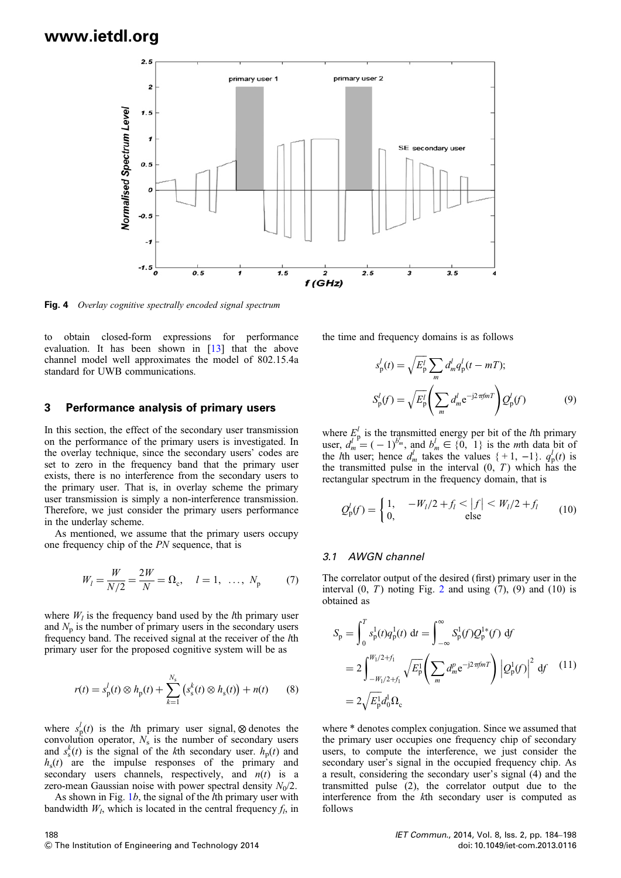

Fig. 4 Overlay cognitive spectrally encoded signal spectrum

to obtain closed-form expressions for performance evaluation. It has been shown in [13] that the above channel model well approximates the model of 802.15.4a standard for UWB communications.

### 3 Performance analysis of primary users

In this section, the effect of the secondary user transmission on the performance of the primary users is investigated. In the overlay technique, since the secondary users' codes are set to zero in the frequency band that the primary user exists, there is no interference from the secondary users to the primary user. That is, in overlay scheme the primary user transmission is simply a non-interference transmission. Therefore, we just consider the primary users performance in the underlay scheme.

As mentioned, we assume that the primary users occupy one frequency chip of the PN sequence, that is

$$
W_l = \frac{W}{N/2} = \frac{2W}{N} = \Omega_c, \quad l = 1, \dots, N_p \tag{7}
$$

where  $W_l$  is the frequency band used by the *l*th primary user and  $N_p$  is the number of primary users in the secondary users frequency band. The received signal at the receiver of the lth primary user for the proposed cognitive system will be as

$$
r(t) = s_p^l(t) \otimes h_p(t) + \sum_{k=1}^{N_s} (s_s^k(t) \otimes h_s(t)) + n(t) \qquad (8)
$$

where  $s_p^l(t)$  is the *l*th primary user signal, ⊗ denotes the convolution operator,  $N_s$  is the number of secondary users and  $s_s^k(t)$  is the signal of the kth secondary user.  $h_p(t)$  and  $h<sub>s</sub>(t)$  are the impulse responses of the primary and secondary users channels, respectively, and  $n(t)$  is a zero-mean Gaussian noise with power spectral density  $N_0/2$ .

As shown in Fig.  $1b$ , the signal of the *l*th primary user with bandwidth  $W_l$ , which is located in the central frequency  $f_l$ , in the time and frequency domains is as follows

$$
s_p^l(t) = \sqrt{E_p^l} \sum_m d_m^l q_p^l(t - mT);
$$
  
\n
$$
S_p^l(f) = \sqrt{E_p^l} \left( \sum_m d_m^l e^{-j2\pi f mT} \right) Q_p^l(f)
$$
 (9)

where  $E_p^l$  is the transmitted energy per bit of the *l*th primary user,  $d_m^l = (-1)^{b_m}$ , and  $b_m^l \in \{0, 1\}$  is the *m*th data bit of the *l*th user; hence  $d_m^l$  takes the values  $\{ +1, -1 \}$ .  $q_p^l(t)$  is the transmitted pulse in the interval  $(0, T)$  which has the rectangular spectrum in the frequency domain, that is

$$
Q_{p}^{l}(f) = \begin{cases} 1, & -W_{l}/2 + f_{l} < |f| < W_{l}/2 + f_{l} \\ 0, & \text{else} \end{cases}
$$
(10)

#### 3.1 AWGN channel

The correlator output of the desired (first) primary user in the interval  $(0, T)$  noting Fig. 2 and using  $(7)$ ,  $(9)$  and  $(10)$  is obtained as

$$
S_{\rm p} = \int_0^T s_{\rm p}^1(t) q_{\rm p}^1(t) \, \mathrm{d}t = \int_{-\infty}^{\infty} S_{\rm p}^1(f) Q_{\rm p}^{1*}(f) \, \mathrm{d}f
$$
  
= 
$$
2 \int_{-W_1/2+f_1}^{W_1/2+f_1} \sqrt{E_{\rm p}^1} \left( \sum_m d_m^p e^{-j2\pi f m T} \right) \left| Q_{\rm p}^1(f) \right|^2 \, \mathrm{d}f \qquad (11)
$$
  
= 
$$
2 \sqrt{E_{\rm p}^1} d_0^1 \Omega_{\rm c}
$$

where  $*$  denotes complex conjugation. Since we assumed that the primary user occupies one frequency chip of secondary users, to compute the interference, we just consider the secondary user's signal in the occupied frequency chip. As a result, considering the secondary user's signal (4) and the transmitted pulse (2), the correlator output due to the interference from the kth secondary user is computed as follows

188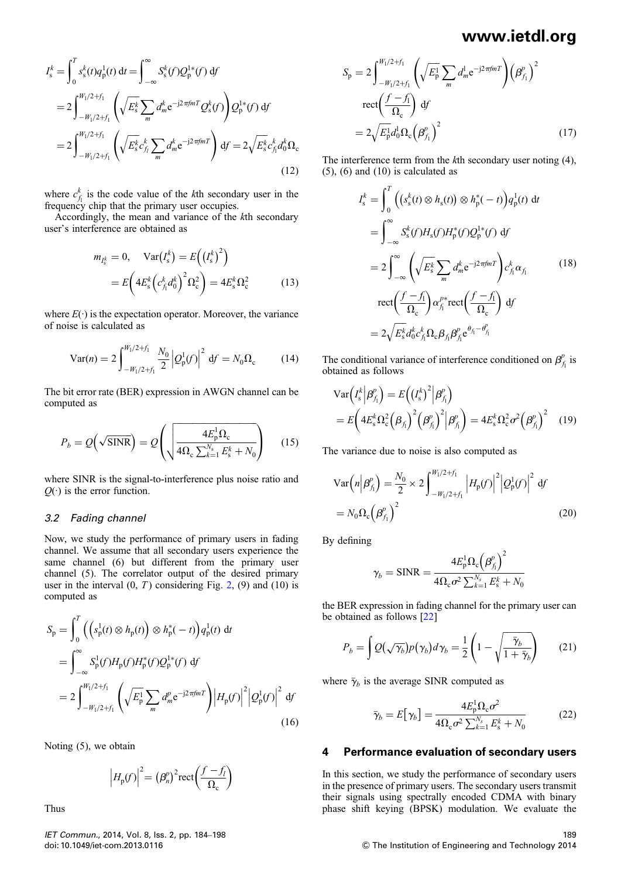$$
I_{s}^{k} = \int_{0}^{T} s_{s}^{k}(t) q_{p}^{1}(t) dt = \int_{-\infty}^{\infty} S_{s}^{k}(f) Q_{p}^{1*}(f) df
$$
  
\n
$$
= 2 \int_{-W_{1}/2+f_{1}}^{W_{1}/2+f_{1}} \left( \sqrt{E_{s}^{k}} \sum_{m} d_{m}^{k} e^{-j2\pi f m T} Q_{s}^{k}(f) \right) Q_{p}^{1*}(f) df
$$
  
\n
$$
= 2 \int_{-W_{1}/2+f_{1}}^{W_{1}/2+f_{1}} \left( \sqrt{E_{s}^{k}} c_{f_{1}}^{k} \sum_{m} d_{m}^{k} e^{-j2\pi f m T} \right) df = 2 \sqrt{E_{s}^{k}} c_{f_{1}}^{k} d_{0}^{k} \Omega_{c}
$$
\n(12)

where  $c_{f_1}^k$  is the code value of the kth secondary user in the frequency chip that the primary user occupies.

Accordingly, the mean and variance of the kth secondary user's interference are obtained as

$$
m_{I_s^k} = 0, \quad \text{Var}(I_s^k) = E((I_s^k)^2)
$$
  
=  $E\left(4E_s^k \left(c_{f_1}^k d_0^k\right)^2 \Omega_c^2\right) = 4E_s^k \Omega_c^2$  (13)

where  $E(\cdot)$  is the expectation operator. Moreover, the variance of noise is calculated as

$$
\text{Var}(n) = 2 \int_{-W_1/2+f_1}^{W_1/2+f_1} \frac{N_0}{2} \left| Q_p^1(f) \right|^2 \, \mathrm{d}f = N_0 \Omega_c \tag{14}
$$

The bit error rate (BER) expression in AWGN channel can be computed as

$$
P_b = Q\left(\sqrt{\text{SINR}}\right) = Q\left(\sqrt{\frac{4E_p^1 \Omega_c}{4\Omega_c \sum_{k=1}^{N_s} E_s^k + N_0}}\right) \quad (15)
$$

where SINR is the signal-to-interference plus noise ratio and  $Q(\cdot)$  is the error function.

#### 3.2 Fading channel

Now, we study the performance of primary users in fading channel. We assume that all secondary users experience the same channel (6) but different from the primary user channel (5). The correlator output of the desired primary user in the interval  $(0, T)$  considering Fig. 2,  $(9)$  and  $(10)$  is computed as

$$
S_{\rm p} = \int_0^T \left( \left( s_{\rm p}^1(t) \otimes h_{\rm p}(t) \right) \otimes h_{\rm p}^*(-t) \right) q_{\rm p}^1(t) \, \mathrm{d}t = \int_{-\infty}^{\infty} S_{\rm p}^1(f) H_{\rm p}(f) H_{\rm p}^*(f) Q_{\rm p}^{1*}(f) \, \mathrm{d}f = 2 \int_{-W_1/2+f_1}^{W_1/2+f_1} \left( \sqrt{E_{\rm p}^1} \sum_m d_m^p e^{-j2\pi f m T} \right) \left| H_{\rm p}(f) \right|^2 \left| Q_{\rm p}^1(f) \right|^2 \, \mathrm{d}f (16)
$$

Noting (5), we obtain

 $H_p(f)$  $\begin{array}{c} \n\end{array}$  $\int_{0}^{2} = (\beta_n^p)^2 \text{rect}\left(\frac{f - f_n}{\Omega}\right)$  $\overline{M}_c$  $(f-f_l)$ 

Thus

 $S_p = 2$  $\int_{1}^{W_1/2+f_1}$  $-W_1/2+f_1$  $\sqrt{E_{\rm p}^1}$   $\sum$ m  $\left(\sqrt{E_{\mathrm{p}}^1}\sum d_{m}^1\mathrm{e}^{-\mathrm{j}2\pi\mathrm{fm}T}\right)\left(\beta_{f_1}^p\right)^2$  $\text{rect}\left(\frac{f-f_1}{Q}\right)$  dy  $\frac{d}{c}$  $= 2\sqrt{E_{\rm p}^{\rm I}}d_0^{\rm I}\Omega_{\rm c}\Bigl(\pmb{\beta}_{f_{\rm I}}^p\Bigr)^2$ (17)

The interference term from the kth secondary user noting (4),  $(5)$ ,  $(6)$  and  $(10)$  is calculated as

$$
I_{s}^{k} = \int_{0}^{T} \left( \left( s_{s}^{k}(t) \otimes h_{s}(t) \right) \otimes h_{p}^{*}(-t) \right) q_{p}^{1}(t) dt
$$
  
\n
$$
= \int_{-\infty}^{\infty} S_{s}^{k}(f) H_{s}(f) H_{p}^{*}(f) Q_{p}^{1*}(f) df
$$
  
\n
$$
= 2 \int_{-\infty}^{\infty} \left( \sqrt{E_{s}^{k}} \sum_{m} d_{m}^{k} e^{-j2\pi f m T} \right) c_{f_{1}}^{k} \alpha_{f_{1}}
$$
  
\n
$$
rect \left( \frac{f - f_{1}}{\Omega_{c}} \right) \alpha_{f_{1}}^{p*} rect \left( \frac{f - f_{1}}{\Omega_{c}} \right) df
$$
  
\n
$$
= 2 \sqrt{E_{s}^{k}} d_{0}^{k} c_{f_{1}}^{k} \Omega_{c} \beta_{f_{1}} \beta_{f_{2}}^{p} e^{\theta_{f_{1}} - \theta_{f_{1}}^{p}}
$$
  
\n(18)

The conditional variance of interference conditioned on  $\beta_f^p$  is obtained as follows

$$
\operatorname{Var}\left(I_{\mathrm{s}}^{k}\middle|\beta_{f_{\mathrm{i}}}^{p}\right)=E\left(\left(I_{\mathrm{s}}^{k}\right)^{2}\middle|\beta_{f_{\mathrm{i}}}^{p}\right)
$$

$$
=E\left(4E_{\mathrm{s}}^{k}\Omega_{\mathrm{c}}^{2}\left(\beta_{f_{\mathrm{i}}}\right)^{2}\left(\beta_{f_{\mathrm{i}}}^{p}\right)^{2}\middle|\beta_{f_{\mathrm{i}}}^{p}\right)=4E_{\mathrm{s}}^{k}\Omega_{\mathrm{c}}^{2}\sigma^{2}\left(\beta_{f_{\mathrm{i}}}^{p}\right)^{2}\quad(19)
$$

The variance due to noise is also computed as

$$
\operatorname{Var}\left(n \middle| \beta_{f_1}^p \right) = \frac{N_0}{2} \times 2 \int_{-W_1/2 + f_1}^{W_1/2 + f_1} \left| H_p(f) \right|^2 \left| \mathcal{Q}_p^1(f) \right|^2 \, df
$$
  
=  $N_0 \Omega_c \left( \beta_{f_1}^p \right)^2$  (20)

By defining

$$
\gamma_b = \text{SINR} = \frac{4E_\text{p}^1 \Omega_\text{c} \left(\beta_{f_\text{l}}^p\right)^2}{4\Omega_\text{c} \sigma^2 \sum_{k=1}^{N_s} E_\text{s}^k + N_0}
$$

the BER expression in fading channel for the primary user can be obtained as follows [22]

$$
P_b = \int Q(\sqrt{\gamma_b}) p(\gamma_b) d\gamma_b = \frac{1}{2} \left( 1 - \sqrt{\frac{\bar{\gamma}_b}{1 + \bar{\gamma}_b}} \right) \tag{21}
$$

where  $\bar{\gamma}_b$  is the average SINR computed as

$$
\bar{\gamma}_b = E[\gamma_b] = \frac{4E_p^1 \Omega_c \sigma^2}{4\Omega_c \sigma^2 \sum_{k=1}^{N_s} E_s^k + N_0}
$$
(22)

#### 4 Performance evaluation of secondary users

In this section, we study the performance of secondary users in the presence of primary users. The secondary users transmit their signals using spectrally encoded CDMA with binary phase shift keying (BPSK) modulation. We evaluate the

& The Institution of Engineering and Technology 2014

189

IET Commun., 2014, Vol. 8, Iss. 2, pp. 184–198 doi: 10.1049/iet-com.2013.0116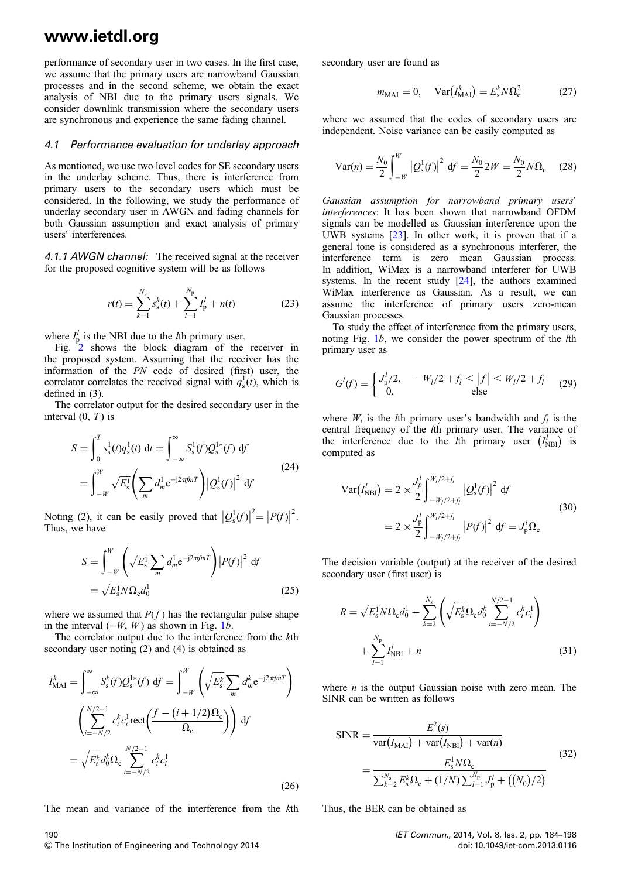performance of secondary user in two cases. In the first case, we assume that the primary users are narrowband Gaussian processes and in the second scheme, we obtain the exact analysis of NBI due to the primary users signals. We consider downlink transmission where the secondary users are synchronous and experience the same fading channel.

#### 4.1 Performance evaluation for underlay approach

As mentioned, we use two level codes for SE secondary users in the underlay scheme. Thus, there is interference from primary users to the secondary users which must be considered. In the following, we study the performance of underlay secondary user in AWGN and fading channels for both Gaussian assumption and exact analysis of primary users' interferences.

4.1.1 AWGN channel: The received signal at the receiver for the proposed cognitive system will be as follows

$$
r(t) = \sum_{k=1}^{N_s} s_s^k(t) + \sum_{l=1}^{N_p} I_p^l + n(t)
$$
 (23)

where  $I_p^l$  is the NBI due to the *l*th primary user.

Fig. 2 shows the block diagram of the receiver in the proposed system. Assuming that the receiver has the information of the PN code of desired (first) user, the correlator correlates the received signal with  $q_s^1(t)$ , which is defined in (3).

The correlator output for the desired secondary user in the interval  $(0, T)$  is

$$
S = \int_0^T s_s^1(t) q_s^1(t) dt = \int_{-\infty}^{\infty} S_s^1(f) Q_s^{1*}(f) df
$$
  
= 
$$
\int_{-W}^W \sqrt{E_s^1} \left( \sum_m d_m^1 e^{-j2\pi f m T} \right) |Q_s^1(f)|^2 df
$$
 (24)

Noting (2), it can be easily proved that  $|Q_{{\rm s}}^{{\rm l}}(f)|$  $2 = |P(f)|$ 2 . Thus, we have

$$
S = \int_{-W}^{W} \left( \sqrt{E_s} \sum_m d_m^1 e^{-j2\pi f m T} \right) \left| P(f) \right|^2 df
$$
  
=  $\sqrt{E_s^1} N \Omega_c d_0^1$  (25)

where we assumed that  $P(f)$  has the rectangular pulse shape in the interval  $(-W, W)$  as shown in Fig. 1*b*.

The correlator output due to the interference from the kth secondary user noting (2) and (4) is obtained as

$$
I_{\text{MAI}}^{k} = \int_{-\infty}^{\infty} S_{\text{s}}^{k}(f) Q_{\text{s}}^{1*}(f) \, df = \int_{-W}^{W} \left( \sqrt{E_{\text{s}}^{k}} \sum_{m} d_{m}^{k} e^{-j2\pi f m T} \right)
$$

$$
\left( \sum_{i=-N/2}^{N/2-1} c_{i}^{k} c_{i}^{1} \text{rect}\left(\frac{f - (i+1/2)\Omega_{\text{c}}}{\Omega_{\text{c}}}\right) \right) \, df
$$

$$
= \sqrt{E_{\text{s}}^{k}} d_{0}^{k} \Omega_{\text{c}} \sum_{i=-N/2}^{N/2-1} c_{i}^{k} c_{i}^{1}
$$
(26)

The mean and variance of the interference from the kth

secondary user are found as

$$
m_{\text{MAI}} = 0, \quad \text{Var}\big(l_{\text{MAI}}^k\big) = E_s^k N \Omega_c^2 \tag{27}
$$

where we assumed that the codes of secondary users are independent. Noise variance can be easily computed as

$$
\text{Var}(n) = \frac{N_0}{2} \int_{-W}^{W} \left| Q_s^1(f) \right|^2 \, \mathrm{d}f = \frac{N_0}{2} 2W = \frac{N_0}{2} N \Omega_{\text{c}} \tag{28}
$$

Gaussian assumption for narrowband primary users' interferences: It has been shown that narrowband OFDM signals can be modelled as Gaussian interference upon the UWB systems [23]. In other work, it is proven that if a general tone is considered as a synchronous interferer, the interference term is zero mean Gaussian process. In addition, WiMax is a narrowband interferer for UWB systems. In the recent study [24], the authors examined WiMax interference as Gaussian. As a result, we can assume the interference of primary users zero-mean Gaussian processes.

To study the effect of interference from the primary users, noting Fig. 1*b*, we consider the power spectrum of the *l*th primary user as

$$
G^{l}(f) = \begin{cases} J_{p}^{l}/2, & -W_{l}/2 + f_{l} < |f| < W_{l}/2 + f_{l} \\ 0, & \text{else} \end{cases}
$$
(29)

where  $W_l$  is the *l*th primary user's bandwidth and  $f_l$  is the central frequency of the lth primary user. The variance of the interference due to the *l*th primary user  $(I_{\text{NBI}}^l)$  is computed as

$$
\operatorname{Var}(I_{\text{NBI}}^{l}) = 2 \times \frac{J_{p}^{l}}{2} \int_{-W_{l}/2+f_{l}}^{W_{l}/2+f_{l}} \left| Q_{s}^{l}(f) \right|^{2} df
$$
  
=  $2 \times \frac{J_{p}^{l}}{2} \int_{-W_{l}/2+f_{l}}^{W_{l}/2+f_{l}} \left| P(f) \right|^{2} df = J_{p}^{l} \Omega_{c}$  (30)

The decision variable (output) at the receiver of the desired secondary user (first user) is

$$
R = \sqrt{E_s^1} N \Omega_c d_0^1 + \sum_{k=2}^{N_s} \left( \sqrt{E_s^k} \Omega_c d_0^k \sum_{i=-N/2}^{N/2-1} c_i^k c_i^1 \right)
$$
  
+ 
$$
\sum_{l=1}^{N_p} I_{\text{NBI}}^l + n
$$
 (31)

where  $n$  is the output Gaussian noise with zero mean. The SINR can be written as follows

$$
SINR = \frac{E^2(s)}{\text{var}(I_{\text{MAI}}) + \text{var}(I_{\text{NBI}}) + \text{var}(n)}
$$
  
= 
$$
\frac{E_s^1 N \Omega_c}{\sum_{k=2}^{N_s} E_s^k \Omega_c + (1/N) \sum_{l=1}^{N_p} J_p^l + ((N_0)/2)}
$$
(32)

Thus, the BER can be obtained as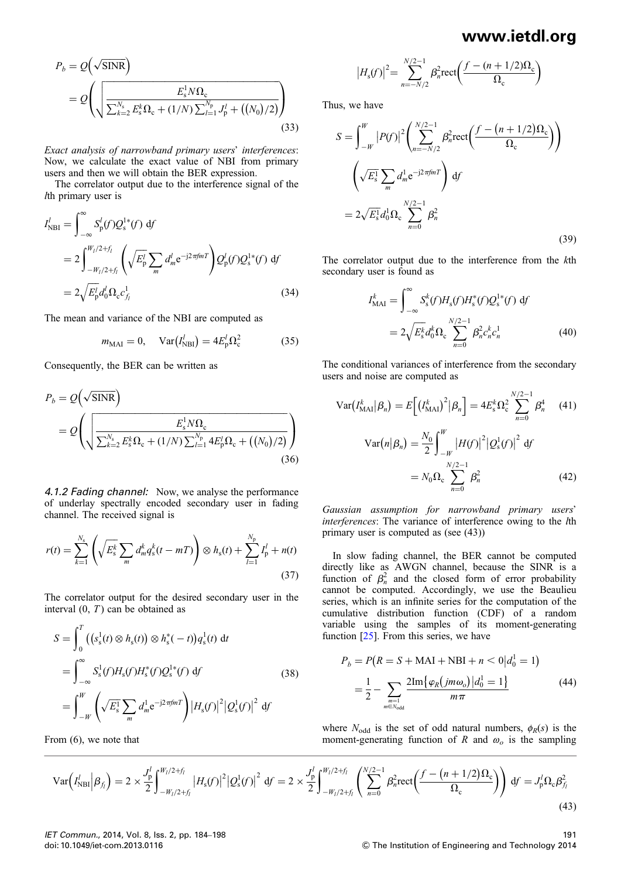$$
P_b = Q\left(\sqrt{\frac{SINR}}{\sum_{k=2}^{N_s} E_s^k \Omega_c + (1/N) \sum_{l=1}^{N_p} J_p^l + ((N_0)/2)}\right)
$$
\n(33)

Exact analysis of narrowband primary users' interferences: Now, we calculate the exact value of NBI from primary users and then we will obtain the BER expression.

The correlator output due to the interference signal of the lth primary user is

$$
I'_{\text{NBI}} = \int_{-\infty}^{\infty} S_p^l(f) Q_s^{1*}(f) df
$$
  
=  $2 \int_{-W_l/2+f_l}^{W_l/2+f_l} \left( \sqrt{E_p^l} \sum_m d_m^l e^{-j2\pi f mT} \right) Q_p^l(f) Q_s^{1*}(f) df$   
=  $2 \sqrt{E_p^l} d_0^l \Omega_c c_{f_l}^l$  (34)

The mean and variance of the NBI are computed as

$$
m_{\text{MAI}} = 0, \quad \text{Var}(I_{\text{NBI}}^l) = 4E_p^l \Omega_c^2
$$
 (35)

Consequently, the BER can be written as

$$
P_b = Q\left(\sqrt{\frac{SINR}}{\sum_{k=2}^{N_s} E_s^k \Omega_c + (1/N) \sum_{l=1}^{N_p} 4E_p^l \Omega_c + ((N_0)/2)}\right)
$$
\n(36)

4.1.2 Fading channel: Now, we analyse the performance of underlay spectrally encoded secondary user in fading channel. The received signal is

$$
r(t) = \sum_{k=1}^{N_s} \left( \sqrt{E_s^k} \sum_m d_m^k q_s^k (t - mT) \right) \otimes h_s(t) + \sum_{l=1}^{N_p} I_p^l + n(t)
$$
\n(37)

The correlator output for the desired secondary user in the interval  $(0, T)$  can be obtained as

$$
S = \int_0^T \left( \left( s_s^1(t) \otimes h_s(t) \right) \otimes h_s^*(-t) \right) q_s^1(t) dt
$$
  
= 
$$
\int_{-\infty}^{\infty} S_s^1(f) H_s(f) H_s^*(f) Q_s^{1*}(f) df
$$
 (38)  
= 
$$
\int_{-W}^{W} \left( \sqrt{E_s^1} \sum_m d_m^1 e^{-j2\pi f mT} \right) |H_s(f)|^2 |Q_s^1(f)|^2 df
$$

From (6), we note that

$$
|H_{\rm s}(f)|^2 = \sum_{n=-N/2}^{N/2-1} \beta_n^2 \text{rect}\bigg(\frac{f - (n+1/2)\Omega_{\rm c}}{\Omega_{\rm c}}\bigg)
$$

Thus, we have

$$
S = \int_{-W}^{W} |P(f)|^2 \left( \sum_{n=-N/2}^{N/2-1} \beta_n^2 \text{rect}\left(\frac{f - (n+1/2)\Omega_c}{\Omega_c}\right) \right)
$$

$$
\left( \sqrt{E_s^1} \sum_m d_m^1 e^{-j2\pi f mT} \right) df
$$

$$
= 2\sqrt{E_s^1} d_0^1 \Omega_c \sum_{n=0}^{N/2-1} \beta_n^2
$$
(39)

The correlator output due to the interference from the kth secondary user is found as

$$
I_{\text{MAI}}^{k} = \int_{-\infty}^{\infty} S_{\text{s}}^{k}(f)H_{\text{s}}(f)H_{\text{s}}^{*}(f)Q_{\text{s}}^{1*}(f) df
$$

$$
= 2\sqrt{E_{\text{s}}^{k}}d_{0}^{k}\Omega_{\text{c}} \sum_{n=0}^{N/2-1} \beta_{n}^{2}c_{n}^{k}c_{n}^{1}
$$
(40)

The conditional variances of interference from the secondary users and noise are computed as

$$
\operatorname{Var}(I_{\text{MAI}}^{k}|\beta_{n}) = E\Big[(I_{\text{MAI}}^{k})^{2}|\beta_{n}\Big] = 4E_{s}^{k}\Omega_{c}^{2}\sum_{n=0}^{N/2-1}\beta_{n}^{4} \quad (41)
$$

$$
\operatorname{Var}(n|\beta_{n}) = \frac{N_{0}}{2}\int_{-W}^{W}|H(f)|^{2}|Q_{s}^{1}(f)|^{2} df
$$

$$
= N_{0}\Omega_{c}\sum_{n=0}^{N/2-1}\beta_{n}^{2} \quad (42)
$$

Gaussian assumption for narrowband primary users' interferences: The variance of interference owing to the *lth* primary user is computed as (see (43))

In slow fading channel, the BER cannot be computed directly like as AWGN channel, because the SINR is a function of  $\beta_n^2$  and the closed form of error probability cannot be computed. Accordingly, we use the Beaulieu series, which is an infinite series for the computation of the cumulative distribution function (CDF) of a random variable using the samples of its moment-generating function [25]. From this series, we have

$$
P_b = P(R = S + \text{MAI} + \text{NBI} + n < 0 | d_0^1 = 1)
$$
\n
$$
= \frac{1}{2} - \sum_{m=1 \atop m \in N_{\text{odd}}} \frac{2 \text{Im}\{\varphi_R(jm\omega_o) | d_0^1 = 1\}}{m\pi} \tag{44}
$$

where  $N_{\text{odd}}$  is the set of odd natural numbers,  $\phi_R(s)$  is the moment-generating function of R and  $\omega_o$  is the sampling

$$
\text{Var}\Big(I_{\text{NBI}}^{l}\Big|\beta_{f_{l}}\Big) = 2 \times \frac{J_{p}^{l}}{2} \int_{-W_{l}/2+f_{l}}^{W_{l}/2+f_{l}} \left|H_{s}(f)\right|^{2} \left|Q_{s}^{l}(f)\right|^{2} \, df = 2 \times \frac{J_{p}^{l}}{2} \int_{-W_{l}/2+f_{l}}^{W_{l}/2+f_{l}} \left(\sum_{n=0}^{N/2-1} \beta_{n}^{2} \text{rect}\Big(\frac{f - (n+1/2)\Omega_{c}}{\Omega_{c}}\Big)\right) \, df = J_{p}^{l} \Omega_{c} \beta_{f_{l}}^{2} \tag{43}
$$

IET Commun., 2014, Vol. 8, Iss. 2, pp. 184–198 doi: 10.1049/iet-com.2013.0116

191 & The Institution of Engineering and Technology 2014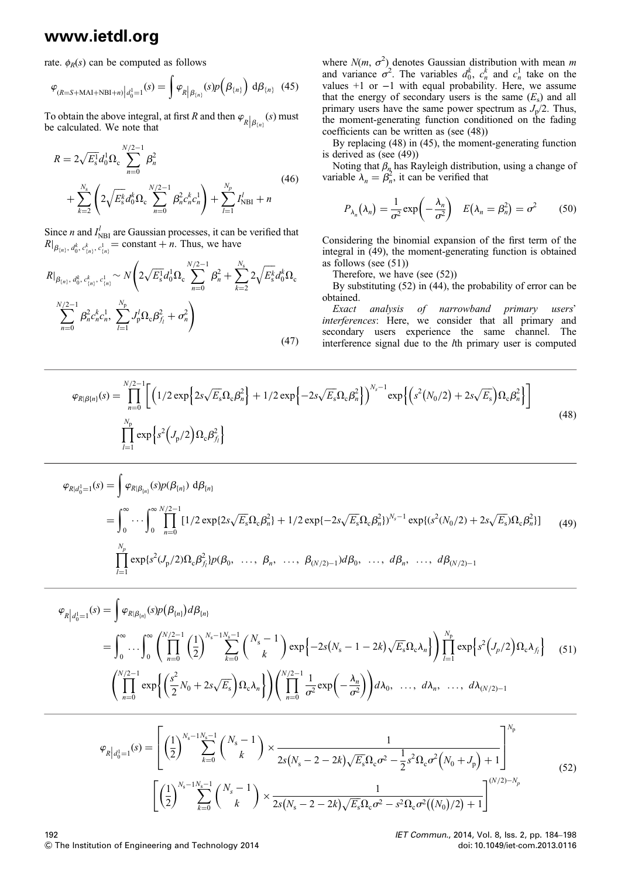rate.  $\phi_R(s)$  can be computed as follows

$$
\varphi_{(R=S+\text{MAI}+\text{NBI}+n)}|_{d_0^1=1}(s) = \int \varphi_{R}|_{\beta_{\{n\}}}(s)p\left(\beta_{\{n\}}\right) \, \mathrm{d}\beta_{\{n\}} \tag{45}
$$

To obtain the above integral, at first R and then  $\varphi_{R}$   $\vert_{\beta_{n}}$  be calculated. We note that (s) must be calculated. We note that

$$
R = 2\sqrt{E_s} d_0^1 \Omega_c \sum_{n=0}^{N/2-1} \beta_n^2
$$
  
+ 
$$
\sum_{k=2}^{N_s} \left( 2\sqrt{E_s^k} d_0^k \Omega_c \sum_{n=0}^{N/2-1} \beta_n^2 c_n^k c_n^1 \right) + \sum_{l=1}^{N_p} I_{\text{NBI}}^l + n
$$
(46)

Since *n* and  $I_{\text{NBI}}^{l}$  are Gaussian processes, it can be verified that  $R|_{\beta_{\{n\}}, d_0^k, c_{\{n\}}^k, c_{\{n\}}^1} = \text{constant} + n.$  Thus, we have

$$
R|_{\beta_{\{n\}},\,d_0^k,\,c_{\{n\}}^k,\,c_{\{n\}}^l} \sim N\left(2\sqrt{E_s^1}d_0^1\Omega_c\sum_{n=0}^{N/2-1}\beta_n^2 + \sum_{k=2}^{N_s}2\sqrt{E_s^k}d_0^k\Omega_c\sum_{n=0}^{N/2-1}\beta_n^2c_n^kc_n^1, \sum_{l=1}^{N_p}J_p^l\Omega_c\beta_{f_l}^2 + \sigma_n^2\right)
$$
\n(47)

where  $N(m, \sigma^2)$  denotes Gaussian distribution with mean m and variance  $\sigma^2$ . The variables  $d_0^k$ ,  $c_n^k$  and  $c_n^1$  take on the values +1 or  $-1$  with equal probability. Here, we assume that the energy of secondary users is the same  $(E_s)$  and all primary users have the same power spectrum as  $J_p/2$ . Thus, the moment-generating function conditioned on the fading coefficients can be written as (see (48))

By replacing (48) in (45), the moment-generating function is derived as (see (49))

Noting that  $\beta_n$  has Rayleigh distribution, using a change of variable  $\lambda_n = \beta_n^2$ , it can be verified that

$$
P_{\lambda_n}(\lambda_n) = \frac{1}{\sigma^2} \exp\left(-\frac{\lambda_n}{\sigma^2}\right) \quad E\left(\lambda_n = \beta_n^2\right) = \sigma^2 \tag{50}
$$

Considering the binomial expansion of the first term of the integral in (49), the moment-generating function is obtained as follows (see (51))

Therefore, we have (see (52))

By substituting (52) in (44), the probability of error can be obtained.

Exact analysis of narrowband primary users' interferences: Here, we consider that all primary and secondary users experience the same channel. The interference signal due to the lth primary user is computed

$$
\varphi_{R|\beta(n)}(s) = \prod_{n=0}^{N/2-1} \left[ \left( 1/2 \exp\left\{ 2s\sqrt{E_s} \Omega_c \beta_n^2 \right\} + 1/2 \exp\left\{ -2s\sqrt{E_s} \Omega_c \beta_n^2 \right\} \right)^{N_s-1} \exp\left\{ \left( s^2 (N_0/2) + 2s\sqrt{E_s} \right) \Omega_c \beta_n^2 \right\} \right]
$$
\n
$$
\prod_{l=1}^{N_p} \exp\left\{ s^2 \left( J_p/2 \right) \Omega_c \beta_{j_l}^2 \right\}
$$
\n(48)

$$
\varphi_{R|d_0^1=1}(s) = \int \varphi_{R|\beta_{[n]}}(s) p(\beta_{[n]}) \, d\beta_{[n]}
$$
\n
$$
= \int_0^\infty \cdots \int_0^\infty \prod_{n=0}^{N/2-1} \left[ 1/2 \exp\{2s\sqrt{E_s}\Omega_c\beta_n^2\} + 1/2 \exp\{-2s\sqrt{E_s}\Omega_c\beta_n^2\}\right]^{N_s-1} \exp\{(s^2(N_0/2) + 2s\sqrt{E_s})\Omega_c\beta_n^2\} \right] \tag{49}
$$
\n
$$
\prod_{l=1}^{N_p} \exp\{s^2(J_p/2)\Omega_c\beta_{f_l}^2\} p(\beta_0, \ \ldots, \ \beta_n, \ \ldots, \ \beta_{(N/2)-1}) d\beta_0, \ \ldots, \ d\beta_n, \ \ldots, \ d\beta_{(N/2)-1}
$$

$$
\varphi_{R|d_0-1}(s) = \int \varphi_{R|\beta_{\{n\}}}(s)p(\beta_{\{n\}})d\beta_{\{n\}}\n= \int_0^\infty \dots \int_0^\infty \left(\prod_{n=0}^{N/2-1} \left(\frac{1}{2}\right)^{N_s-1} \sum_{k=0}^{N_s-1} {N_s-1 \choose k} \exp\{-2s(N_s-1-2k)\sqrt{E_s}\Omega_c\lambda_n\}\right) \prod_{l=1}^{N_p} \exp\left\{s^2\left(J_p/2\right)\Omega_c\lambda_{f_l}\right\} \tag{51}
$$
\n
$$
\left(\prod_{n=0}^{N/2-1} \exp\left\{\left(\frac{s^2}{2}N_0+2s\sqrt{E_s}\right)\Omega_c\lambda_n\right\}\right) \left(\prod_{n=0}^{N/2-1} \frac{1}{\sigma^2}\exp\left(-\frac{\lambda_n}{\sigma^2}\right)\right) d\lambda_0, \dots, d\lambda_n, \dots, d\lambda_{(N/2)-1}
$$

$$
\varphi_{R|d_{0}^{1}=1}(s) = \left[ \left( \frac{1}{2} \right)^{N_{s}-1} \sum_{k=0}^{N_{s}-1} {N_{s}-1 \choose k} \times \frac{1}{2s(N_{s}-2-2k)\sqrt{E_{s}}\Omega_{c}\sigma^{2} - \frac{1}{2}s^{2}\Omega_{c}\sigma^{2}(N_{0}+J_{p}) + 1} \right]^{N_{p}}
$$
\n
$$
\left[ \left( \frac{1}{2} \right)^{N_{s}-1} \sum_{k=0}^{N_{s}-1} {N_{s}-1 \choose k} \times \frac{1}{2s(N_{s}-2-2k)\sqrt{E_{s}}\Omega_{c}\sigma^{2} - s^{2}\Omega_{c}\sigma^{2}((N_{0})/2) + 1} \right]^{(N/2)-N_{p}}
$$
\n(52)

192  $©$  The Institution of Engineering and Technology 2014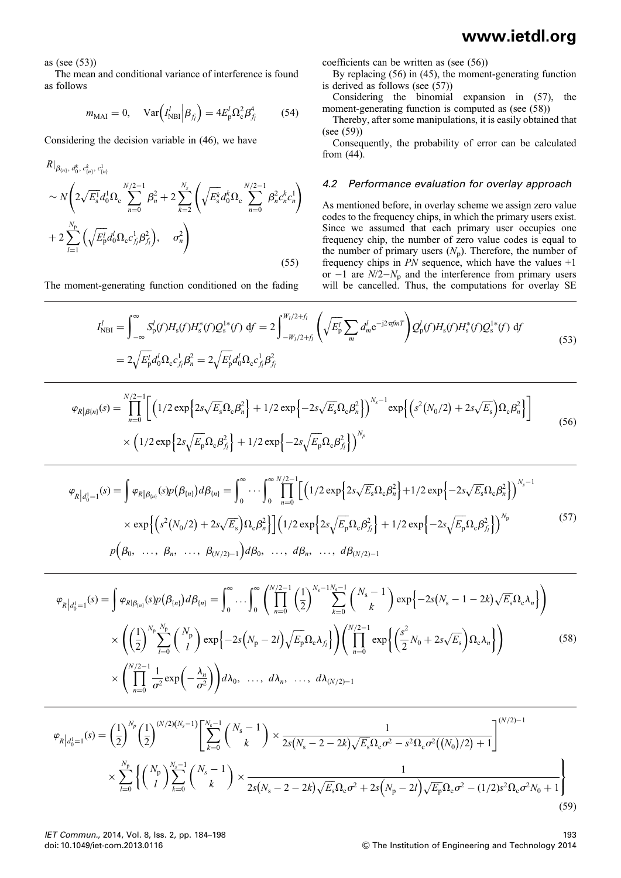as (see (53))

The mean and conditional variance of interference is found as follows

$$
m_{\text{MAI}} = 0, \quad \text{Var}\Big( I_{\text{NBI}}^l \Big| \boldsymbol{\beta}_{f_l} \Big) = 4 E_p^l \Omega_c^2 \boldsymbol{\beta}_{f_l}^4 \tag{54}
$$

Considering the decision variable in (46), we have

$$
R|_{\beta_{\{n\}}, d_0^k, c_{\{n\}}^k, c_{\{n\}}^1} \sim N\left(2\sqrt{E_s^1}d_0^1\Omega_c \sum_{n=0}^{N/2-1} \beta_n^2 + 2\sum_{k=2}^{N_s} \left(\sqrt{E_s^k}d_0^k\Omega_c \sum_{n=0}^{N/2-1} \beta_n^2c_n^kc_n^1\right) + 2\sum_{l=1}^{N_p} \left(\sqrt{E_p^l}d_0^l\Omega_c c_{j_l}^1\beta_{j_l}^2\right), \quad \sigma_n^2\right)
$$
\n(55)

The moment-generating function conditioned on the fading

coefficients can be written as (see (56))

By replacing (56) in (45), the moment-generating function is derived as follows (see (57))

Considering the binomial expansion in (57), the moment-generating function is computed as (see (58))

Thereby, after some manipulations, it is easily obtained that (see (59))

Consequently, the probability of error can be calculated from (44).

#### 4.2 Performance evaluation for overlay approach

As mentioned before, in overlay scheme we assign zero value codes to the frequency chips, in which the primary users exist. Since we assumed that each primary user occupies one frequency chip, the number of zero value codes is equal to the number of primary users  $(N_p)$ . Therefore, the number of frequency chips in  $PN$  sequence, which have the values  $+1$ or  $-1$  are  $N/2 - N_p$  and the interference from primary users will be cancelled. Thus, the computations for overlay SE

$$
I_{\text{NBI}}^{l} = \int_{-\infty}^{\infty} S_{\text{p}}^{l}(f)H_{\text{s}}(f)H_{\text{s}}^{*}(f)Q_{\text{s}}^{l*}(f) df = 2 \int_{-\frac{W_{l}/2+f_{l}}{2}}^{\frac{W_{l}/2+f_{l}}{2}} \left( \sqrt{E_{\text{p}}^{l}} \sum_{m} d_{m}^{l} e^{-j2\pi f m T} \right) Q_{\text{p}}^{l}(f)H_{\text{s}}(f)H_{\text{s}}^{*}(f)Q_{\text{s}}^{l*}(f) df
$$
\n
$$
= 2\sqrt{E_{\text{p}}^{l}} d_{0}^{l} \Omega_{\text{c}} c_{f_{l}}^{1} \beta_{n}^{2} = 2\sqrt{E_{\text{p}}^{l}} d_{0}^{l} \Omega_{\text{c}} c_{f_{l}}^{1} \beta_{f_{l}}^{2}
$$
\n(53)

$$
\varphi_{R|\beta(n)}(s) = \prod_{n=0}^{N/2-1} \left[ \left( 1/2 \exp\left\{ 2s\sqrt{E_s} \Omega_c \beta_n^2 \right\} + 1/2 \exp\left\{ -2s\sqrt{E_s} \Omega_c \beta_n^2 \right\} \right)^{N_s - 1} \exp\left\{ \left( s^2 \left( N_0/2 \right) + 2s\sqrt{E_s} \right) \Omega_c \beta_n^2 \right\} \right]
$$
  
 
$$
\times \left( 1/2 \exp\left\{ 2s\sqrt{E_p} \Omega_c \beta_f^2 \right\} + 1/2 \exp\left\{ -2s\sqrt{E_p} \Omega_c \beta_f^2 \right\} \right)^{N_p}
$$
(56)

$$
\varphi_{R|d_{0}^{1}=1}(s) = \int \varphi_{R|\beta_{\{n\}}}(s)p(\beta_{\{n\}})d\beta_{\{n\}} = \int_{0}^{\infty} \cdots \int_{0}^{\infty} \prod_{n=0}^{N/2-1} \left[ \left( 1/2 \exp\left\{ 2s\sqrt{E_{s}}\Omega_{c}\beta_{n}^{2} \right\} + 1/2 \exp\left\{ -2s\sqrt{E_{s}}\Omega_{c}\beta_{n}^{2} \right\} \right)^{N_{s}-1} \times \exp\left\{ \left( s^{2}(N_{0}/2) + 2s\sqrt{E_{s}} \right) \Omega_{c}\beta_{n}^{2} \right\} \right] \left( 1/2 \exp\left\{ 2s\sqrt{E_{p}}\Omega_{c}\beta_{f_{1}}^{2} \right\} + 1/2 \exp\left\{ -2s\sqrt{E_{p}}\Omega_{c}\beta_{f_{1}}^{2} \right\} \right)^{N_{p}}
$$
\n
$$
p(\beta_{0}, \ldots, \beta_{n}, \ldots, \beta_{(N/2)-1}) d\beta_{0}, \ldots, d\beta_{n}, \ldots, d\beta_{(N/2)-1}
$$
\n(57)

$$
\varphi_{R|d_{0}^{-1}}(s) = \int \varphi_{R|\beta_{\{n\}}}(s)p(\beta_{\{n\}})d\beta_{\{n\}} = \int_{0}^{\infty} \cdots \int_{0}^{\infty} \left(\prod_{n=0}^{N/2-1} \left(\frac{1}{2}\right)^{N_{s}-1} \sum_{k=0}^{N_{s}-1} {N_{s}-1 \choose k} \exp\{-2s(N_{s}-1-2k)\sqrt{E_{s}}\Omega_{c}\lambda_{n}\}\right)
$$

$$
\times \left(\left(\frac{1}{2}\right)^{N_{p}} \sum_{l=0}^{N_{p}} {N_{p} \choose l} \exp\{-2s(N_{p}-2l)\sqrt{E_{p}}\Omega_{c}\lambda_{f_{l}}\}\right) \left(\prod_{n=0}^{N/2-1} \exp\left\{\left(\frac{s^{2}}{2}N_{0}+2s\sqrt{E_{s}}\right)\Omega_{c}\lambda_{n}\right\}\right)
$$

$$
\times \left(\prod_{n=0}^{N/2-1} \frac{1}{\sigma^{2}} \exp\left(-\frac{\lambda_{n}}{\sigma^{2}}\right)\right) d\lambda_{0}, \dots, d\lambda_{n}, \dots, d\lambda_{(N/2)-1}
$$
(58)

$$
\varphi_{R|d_0=1}(s) = \left(\frac{1}{2}\right)^{N_p} \left(\frac{1}{2}\right)^{(N/2)(N_s-1)} \left[\sum_{k=0}^{N_s-1} {N_s-1 \choose k} \times \frac{1}{2s(N_s-2-2k)\sqrt{E_s}\Omega_c\sigma^2 - s^2\Omega_c\sigma^2((N_0)/2) + 1}\right]^{(N/2)-1}
$$

$$
\times \sum_{l=0}^{N_p} \left\{ {N_p \choose l} \sum_{k=0}^{N_s-1} {N_s-1 \choose k} \times \frac{1}{2s(N_s-2-2k)\sqrt{E_s}\Omega_c\sigma^2 + 2s(N_p-2l)\sqrt{E_p}\Omega_c\sigma^2 - (1/2)s^2\Omega_c\sigma^2N_0 + 1} \right\}
$$
(59)

IET Commun., 2014, Vol. 8, Iss. 2, pp. 184–198 doi: 10.1049/iet-com.2013.0116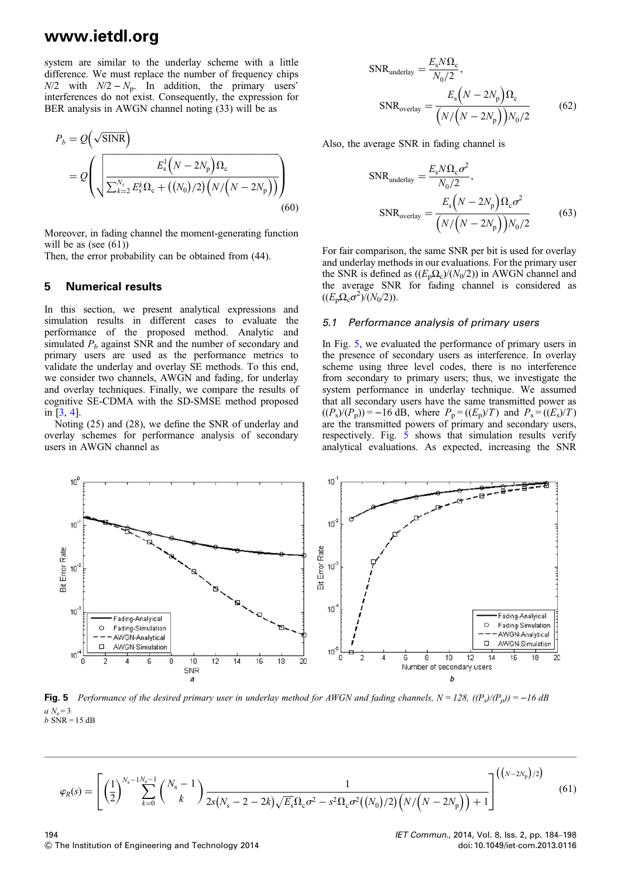system are similar to the underlay scheme with a little difference. We must replace the number of frequency chips  $N/2$  with  $N/2 - N_p$ . In addition, the primary users' interferences do not exist. Consequently, the expression for BER analysis in AWGN channel noting (33) will be as

$$
P_b = Q\left(\sqrt{\frac{E_s^1(N - 2N_p)\Omega_c}{\sum_{k=2}^{N_s} E_s^k \Omega_c + ((N_0)/2) (N/(N - 2N_p))}}\right)
$$
\n(60)

Moreover, in fading channel the moment-generating function will be as (see  $(61)$ )

Then, the error probability can be obtained from (44).

#### 5 Numerical results

In this section, we present analytical expressions and simulation results in different cases to evaluate the performance of the proposed method. Analytic and simulated  $P_b$  against SNR and the number of secondary and primary users are used as the performance metrics to validate the underlay and overlay SE methods. To this end, we consider two channels, AWGN and fading, for underlay and overlay techniques. Finally, we compare the results of cognitive SE-CDMA with the SD-SMSE method proposed in [3, 4].

Noting (25) and (28), we define the SNR of underlay and overlay schemes for performance analysis of secondary users in AWGN channel as

$$
SNR_{underlay} = \frac{E_s N \Omega_c}{N_0/2},
$$
  
\n
$$
SNR_{overlay} = \frac{E_s (N - 2N_p) \Omega_c}{\left(N/(N - 2N_p)\right) N_0/2}
$$
 (62)

Also, the average SNR in fading channel is

$$
SNR_{underlay} = \frac{E_s N \Omega_c \sigma^2}{N_0/2},
$$

$$
SNR_{overlay} = \frac{E_s (N - 2N_p) \Omega_c \sigma^2}{\left(N/(N - 2N_p)\right)N_0/2}
$$
(63)

For fair comparison, the same SNR per bit is used for overlay and underlay methods in our evaluations. For the primary user the SNR is defined as  $((E_p \Omega_c)/(N_0/2))$  in AWGN channel and the average SNR for fading channel is considered as  $((E_p \Omega_c \sigma^2) \tilde{N}(N_0/2)).$ 

#### 5.1 Performance analysis of primary users

In Fig. 5, we evaluated the performance of primary users in the presence of secondary users as interference. In overlay scheme using three level codes, there is no interference from secondary to primary users; thus, we investigate the system performance in underlay technique. We assumed that all secondary users have the same transmitted power as  $((P_s)/(P_p)) = -16$  dB, where  $P_p = ((E_p)/T)$  and  $P_s = ((E_s)/T)$ are the transmitted powers of primary and secondary users, respectively. Fig. 5 shows that simulation results verify analytical evaluations. As expected, increasing the SNR



**Fig. 5** Performance of the desired primary user in underlay method for AWGN and fading channels,  $N = 128$ ,  $((P_s)/(P_p)) = -16$  dB  $a N<sub>s</sub> = 3$  $b$  SNR = 15 dB

$$
\varphi_R(s) = \left[ \left( \frac{1}{2} \right)^{N_s - 1} \sum_{k=0}^{N_s - 1} \binom{N_s - 1}{k} \frac{1}{2s(N_s - 2 - 2k)\sqrt{E_s} \Omega_c \sigma^2 - s^2 \Omega_c \sigma^2((N_0)/2) \left( N / \left( N - 2N_p \right) \right) + 1} \right]^{((N - 2N_p)/2)} \tag{61}
$$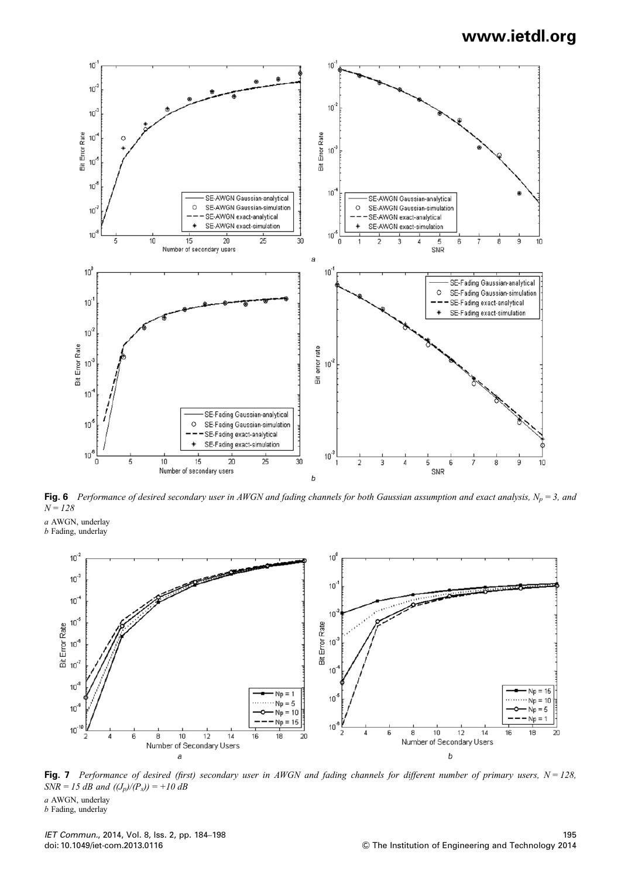

Fig. 6 Performance of desired secondary user in AWGN and fading channels for both Gaussian assumption and exact analysis,  $N_p = 3$ , and  $N = 128$ 

a AWGN, underlay

b Fading, underlay



Fig. 7 Performance of desired (first) secondary user in AWGN and fading channels for different number of primary users,  $N = 128$ ,  $SNR = 15$  dB and  $((J_p)/(P_s)) = +10$  dB a AWGN, underlay

b Fading, underlay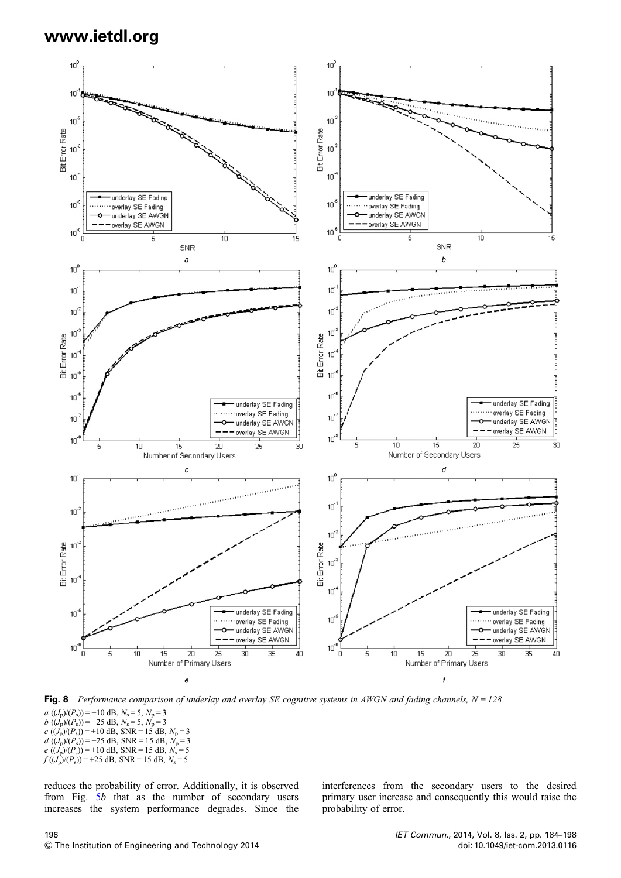

Fig. 8 Performance comparison of underlay and overlay SE cognitive systems in AWGN and fading channels,  $N = 128$  $a\left((J_{p})/(P_{s})\right) = +10$  dB,  $N_{s} = 5$ ,  $N_{p} = 3$ 

 $b\left((J_p)/(P_s)\right) = +25$  dB,  $N_s = 5$ ,  $N_p = 3$  $c \left(\frac{J_p}{I_s}\right)(P_s)$  = +10 dB, SNR = 15 dB,  $N_p$  = 3  $d ((J_p)/(P_s)) = +25 dB$ , SNR = 15 dB,  $N_p = 3$  $e ((J_p)/(P_s)) = +10$  dB, SNR = 15 dB,  $N_s = 5$  $f((J_p)/(P_s)) = +25$  dB, SNR = 15 dB,  $N_s = 5$ 

reduces the probability of error. Additionally, it is observed from Fig. 5b that as the number of secondary users increases the system performance degrades. Since the interferences from the secondary users to the desired primary user increase and consequently this would raise the probability of error.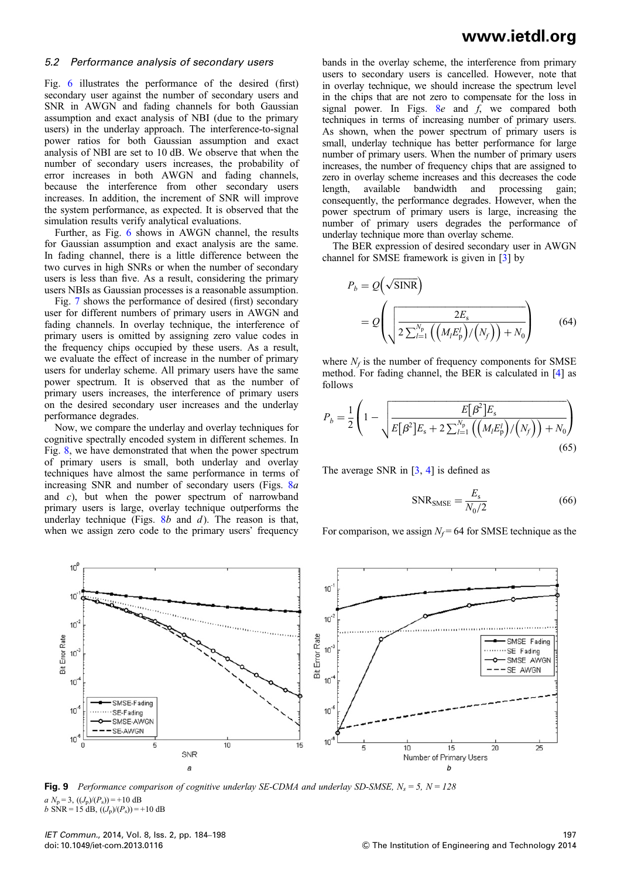#### 5.2 Performance analysis of secondary users

Fig. 6 illustrates the performance of the desired (first) secondary user against the number of secondary users and SNR in AWGN and fading channels for both Gaussian assumption and exact analysis of NBI (due to the primary users) in the underlay approach. The interference-to-signal power ratios for both Gaussian assumption and exact analysis of NBI are set to 10 dB. We observe that when the number of secondary users increases, the probability of error increases in both AWGN and fading channels, because the interference from other secondary users increases. In addition, the increment of SNR will improve the system performance, as expected. It is observed that the simulation results verify analytical evaluations.

Further, as Fig. 6 shows in AWGN channel, the results for Gaussian assumption and exact analysis are the same. In fading channel, there is a little difference between the two curves in high SNRs or when the number of secondary users is less than five. As a result, considering the primary users NBIs as Gaussian processes is a reasonable assumption.

Fig. 7 shows the performance of desired (first) secondary user for different numbers of primary users in AWGN and fading channels. In overlay technique, the interference of primary users is omitted by assigning zero value codes in the frequency chips occupied by these users. As a result, we evaluate the effect of increase in the number of primary users for underlay scheme. All primary users have the same power spectrum. It is observed that as the number of primary users increases, the interference of primary users on the desired secondary user increases and the underlay performance degrades.

Now, we compare the underlay and overlay techniques for cognitive spectrally encoded system in different schemes. In Fig. 8, we have demonstrated that when the power spectrum of primary users is small, both underlay and overlay techniques have almost the same performance in terms of increasing SNR and number of secondary users (Figs. 8a and c), but when the power spectrum of narrowband primary users is large, overlay technique outperforms the underlay technique (Figs.  $8b$  and d). The reason is that, when we assign zero code to the primary users' frequency bands in the overlay scheme, the interference from primary users to secondary users is cancelled. However, note that in overlay technique, we should increase the spectrum level in the chips that are not zero to compensate for the loss in signal power. In Figs. 8e and  $f<sub>1</sub>$  we compared both techniques in terms of increasing number of primary users. As shown, when the power spectrum of primary users is small, underlay technique has better performance for large number of primary users. When the number of primary users increases, the number of frequency chips that are assigned to zero in overlay scheme increases and this decreases the code length, available bandwidth and processing gain; consequently, the performance degrades. However, when the power spectrum of primary users is large, increasing the number of primary users degrades the performance of underlay technique more than overlay scheme.

The BER expression of desired secondary user in AWGN channel for SMSE framework is given in [3] by

$$
P_b = Q\left(\sqrt{\text{SINR}}\right)
$$
  
= 
$$
Q\left(\sqrt{\frac{2E_s}{2\sum_{l=1}^{N_p} \left(\left(M_l E_p^l\right) / \left(N_f\right)\right) + N_0}}\right)
$$
(64)

where  $N_f$  is the number of frequency components for SMSE method. For fading channel, the BER is calculated in [4] as follows

$$
P_b = \frac{1}{2} \left( 1 - \sqrt{\frac{E[\beta^2]E_s}{E[\beta^2]E_s + 2\sum_{l=1}^{N_p} \left( \left(M_l E_p^l \right) / \left(N_f\right) \right) + N_0} \right) \tag{65}
$$

The average SNR in  $[3, 4]$  is defined as

$$
SNR_{SMSE} = \frac{E_s}{N_0/2}
$$
 (66)

For comparison, we assign  $N_f$  = 64 for SMSE technique as the



**Fig. 9** Performance comparison of cognitive underlay SE-CDMA and underlay SD-SMSE,  $N_s = 5$ ,  $N = 128$ a  $N_p = 3$ ,  $((J_p)/(P_s)) = +10$  dB b SNR = 15 dB,  $((J_p)/(P_s)) = +10$  dB